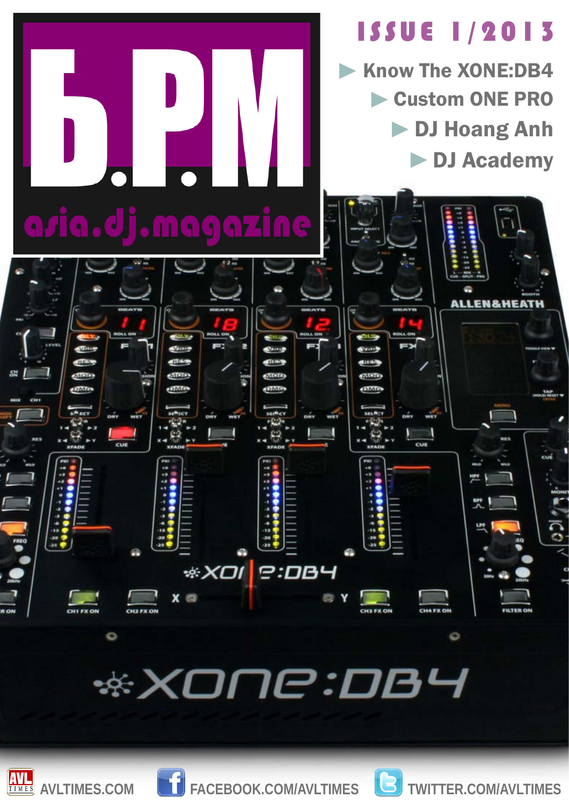

## **\*XONE:DB4**





AVLTIMES.COM **TACEBOOK.COM/AVLTIMES B** TWITTER.COM/AVLTIMES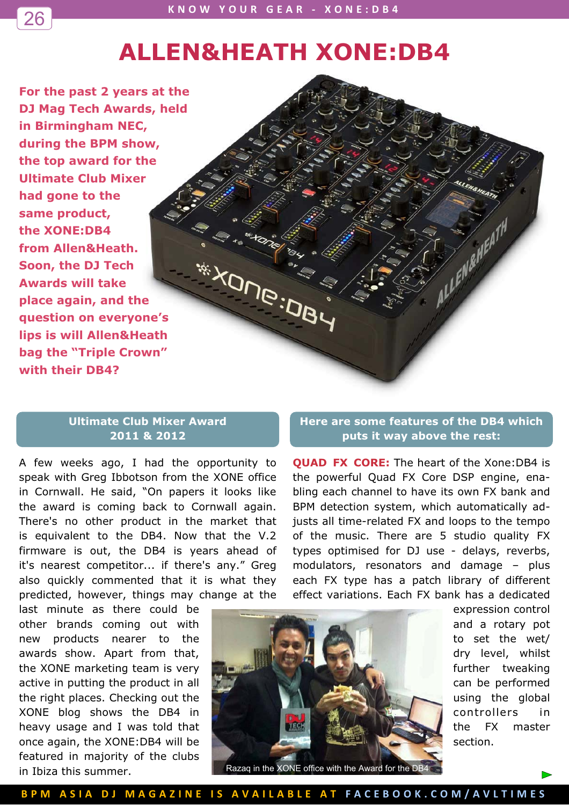## **ALLEN&HEATH XONE:DB4**

**For the past 2 years at the DJ Mag Tech Awards, held in Birmingham NEC, during the BPM show, the top award for the Ultimate Club Mixer had gone to the same product, the XONE:DB4 from Allen&Heath. Soon, the DJ Tech Awards will take place again, and the question on everyone's lips is will Allen&Heath bag the "Triple Crown" with their DB4?** 

26

## **Ultimate Club Mixer Award 2011 & 2012**

A few weeks ago, I had the opportunity to speak with Greg Ibbotson from the XONE office in Cornwall. He said, "On papers it looks like the award is coming back to Cornwall again. There's no other product in the market that is equivalent to the DB4. Now that the V.2 firmware is out, the DB4 is years ahead of it's nearest competitor... if there's any." Greg also quickly commented that it is what they predicted, however, things may change at the

last minute as there could be other brands coming out with new products nearer to the awards show. Apart from that, the XONE marketing team is very active in putting the product in all the right places. Checking out the XONE blog shows the DB4 in heavy usage and I was told that once again, the XONE:DB4 will be featured in majority of the clubs in Ibiza this summer.

## **Here are some features of the DB4 which puts it way above the rest:**

ALLENGARATH

**QUAD FX CORE:** The heart of the Xone:DB4 is the powerful Quad FX Core DSP engine, enabling each channel to have its own FX bank and BPM detection system, which automatically adjusts all time-related FX and loops to the tempo of the music. There are 5 studio quality FX types optimised for DJ use - delays, reverbs, modulators, resonators and damage – plus each FX type has a patch library of different effect variations. Each FX bank has a dedicated



Razaq in the XONE office with the Award for the DB4

expression control and a rotary pot to set the wet/ dry level, whilst further tweaking can be performed using the global controllers in the FX master section.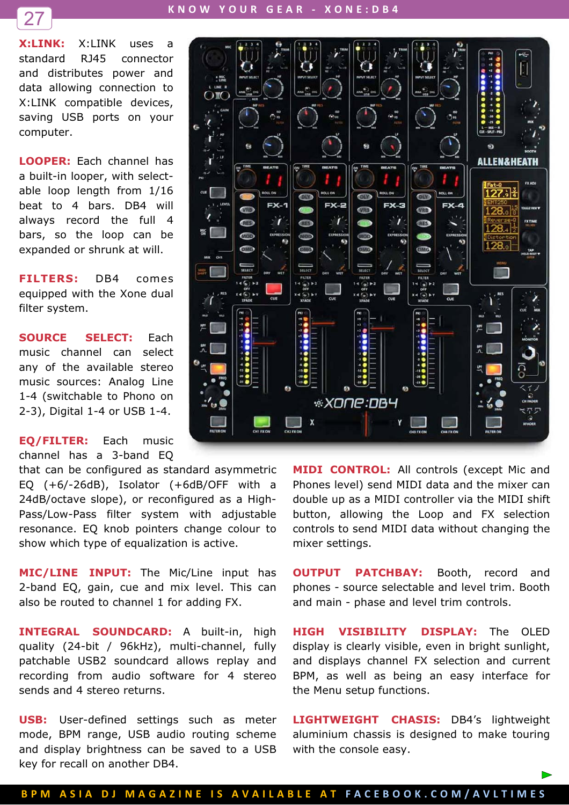

**KNOW-YOUR-GEAR--XONE:DB4-**

**X:LINK:** X:LINK uses a standard RJ45 connector and distributes power and data allowing connection to X:LINK compatible devices, saving USB ports on your computer.

**LOOPER:** Each channel has a built-in looper, with selectable loop length from 1/16 beat to 4 bars. DB4 will always record the full 4 bars, so the loop can be expanded or shrunk at will.

**FILTERS:** DB4 comes equipped with the Xone dual filter system.

**SOURCE SELECT:** Each music channel can select any of the available stereo music sources: Analog Line 1-4 (switchable to Phono on 2-3), Digital 1-4 or USB 1-4.

**EQ/FILTER:** Each music channel has a 3-band EQ

that can be configured as standard asymmetric EQ (+6/-26dB), Isolator (+6dB/OFF with a 24dB/octave slope), or reconfigured as a High-Pass/Low-Pass filter system with adjustable resonance. EQ knob pointers change colour to show which type of equalization is active.

**MIC/LINE INPUT:** The Mic/Line input has 2-band EQ, gain, cue and mix level. This can also be routed to channel 1 for adding FX.

**INTEGRAL SOUNDCARD:** A built-in, high quality (24-bit / 96kHz), multi-channel, fully patchable USB2 soundcard allows replay and recording from audio software for 4 stereo sends and 4 stereo returns.

**USB:** User-defined settings such as meter mode, BPM range, USB audio routing scheme and display brightness can be saved to a USB key for recall on another DB4.



**MIDI CONTROL:** All controls (except Mic and Phones level) send MIDI data and the mixer can double up as a MIDI controller via the MIDI shift button, allowing the Loop and FX selection controls to send MIDI data without changing the mixer settings.

**OUTPUT PATCHBAY:** Booth, record and phones - source selectable and level trim. Booth and main - phase and level trim controls.

**HIGH VISIBILITY DISPLAY:** The OLED display is clearly visible, even in bright sunlight, and displays channel FX selection and current BPM, as well as being an easy interface for the Menu setup functions.

**LIGHTWEIGHT CHASIS:** DB4's lightweight aluminium chassis is designed to make touring with the console easy.